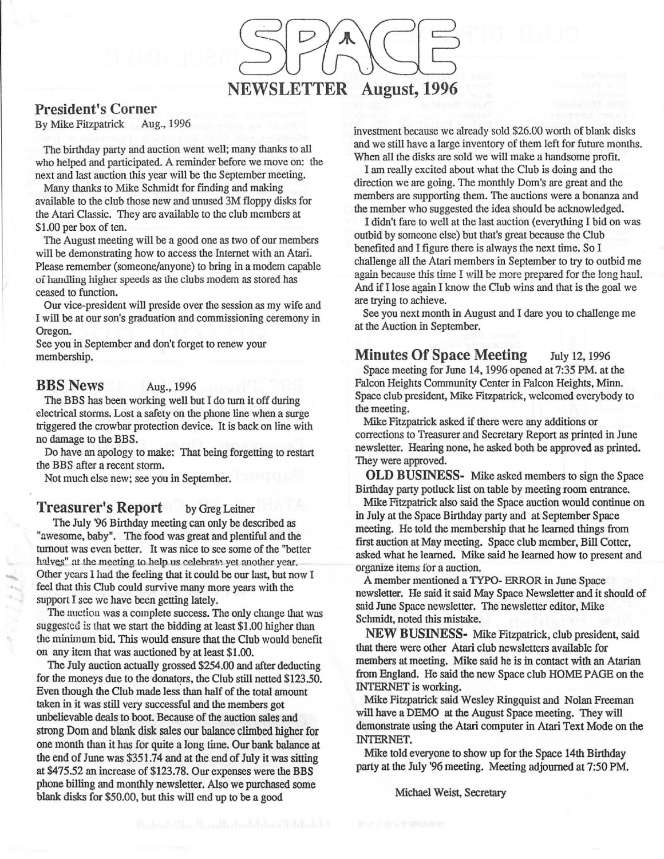## NEWSLETTER August, 1996

#### President's Corner

By Mike Fitzpatrick Aug., 1996

The birthday party and auction went well; many thanks to all who helped and participated. A reminder before we move on: the next and last auction this year will be the September meeting.

Many thanks to Mike Schmidt for finding and making available to the club those new and unused 3M floppy disks for the Atari Classic. They are available to the club members at \$1.00 per box of ten.

The August meeting will be a good one as two of our members will be demonstrating how to access the Internet with an Atari. Please remember (someone/anyone) to bring in a modem capable of handling higher speeds as the clubs modem as stored has ceased to function.

Our vice-president will preside over the session as my wife and I will be at our son's graduation and commissioning ceremony in Oregon.

See you in September and don't forget to renew your membership.

#### **BBS News** Aug., 1996

The BBS has been working well but I do turn it off during electrical storms. Lost a safety on the phone line when a surge triggered the crowbar protection device. It is back on line with no damage to the BBS.

Do have an apology to make: That being forgetting to restart the BBS after a recent storm.

Not much else new; see you in September.

#### **Treasurer's Report** by Greg Leitner

The July '96 Birthday meeting can only be described as "awesome, baby". The food was great and plentiful and the turnout was even better. It was nice to see some of the "better halves" at the meeting to help us celebrate yet another year. Other years I had the feeling that it could be our last, but now I feel that this Club could survive many more years with the support I see we have been getting lately.

The auction was a complete success. The only change that was suggested is that we start the bidding at least \$1.00 higher than the minimum bid. This would ensure that the Club would benefit on any item that was auctioned by at least \$1.00.

The July auction actually grossed \$254.00 and after deducting for the moneys due to the donators, the Club still netted \$123.50. Even though the Club made less than half of the total amount taken in it was still very successful and the members got unbelievable deals to boot. Because of the auction sales and strong Dom and blank disk sales our balance climbed higher for one month than it has for quite a long time. Our bank balance at the end of June was \$351.74 and at the end of July it was sitting at \$475.52 an increase of \$123.78. Our expenses were the BBS phone billing and monthly newsletter. Also we purchased some blank disks for \$50.00, but this will end up to be a good

investment because we already sold \$26.00 worth of blank disks and we still have a large inventory of them left for future months. When all the disks are sold we will make a handsome profit.

I am really excited about what the Club is doing and the direction we are going. The monthly Dom's are great and the members are supporting them. The auctions were a bonanza and the member who suggested the idea should be acknowledged.

I didn't fare to well at the last auction (everything I bid on was outbid by someone else) but that's great because the Club benefited and I figure there is always the next time. So I challenge all the Atari members in September to try to outbid me again because this time I will be more prepared for the long haul. And if I lose again I know the Club wins and that is the goal we are trying to achieve.

See you next month in August and I dare you to challenge me at the Auction in September.

Minutes Of Space Meeting July 12, 1996 Space meeting for June 14, 1996 opened at 7:35 PM. at the Falcon Heights Community Center in Falcon Heights, Minn. Space club president, Mike Fitzpatrick, welcomed everybody to the meeting.

Mike Fitzpatrick asked if there were any additions or corrections to Treasurer and Secretary Report as prinred in June newsletter. Hearing none, he asked both be approved as printed. They were approved.

**OLD BUSINESS-** Mike asked members to sign the Space Birthday party potluck list on table by meeting room entrance.

Mike Fitzpatrick also said the Space auction would continue on in July at the Space Birthday party and at September Space meeting. He told the membership that he learned things from first auction at May meeting. Space club member, Bill Cotter, asked what he learned. Mike said he learned how to present and organize items for a auction.

A member mentioned a TYPO- ERROR in June Space newsletter. He said it said May Space Newsletter and it should of said June Space newsletter. The newsletter editor, Mike Schmidt, noted this mistake.

**NEW BUSINESS-** Mike Fitzpatrick, club president, said that there were other Atari club newsletters available for members at meeting. Mike said he is in contact with an Atarian from England. He said the new Space club HOME PAGE on the INTERNET is working.

Mike Fitzpatrick said Wesley Ringquist and Nolan Freeman will have a DEMO at the August Space meeting. They will demonstrate using the Atari computer in Atari Text Mode on the INTERNET.

Mike told everyone to show up for the Space 14th Birthday party at the July '96 meeting. Meeting adjourned at 7:50 PM.

Michael Weist. Secretary